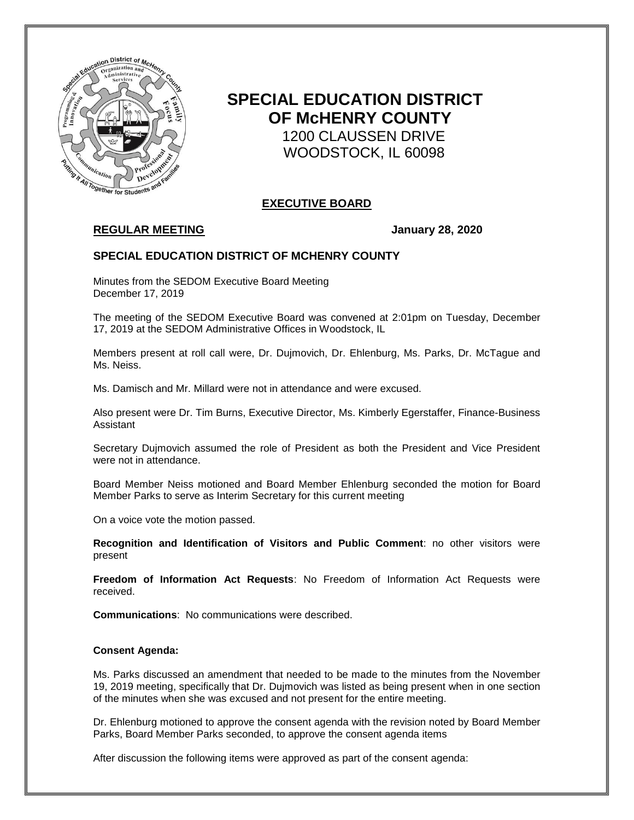

# **SPECIAL EDUCATION DISTRICT OF McHENRY COUNTY** 1200 CLAUSSEN DRIVE WOODSTOCK, IL 60098

# **EXECUTIVE BOARD**

# **REGULAR MEETING January 28, 2020**

## **SPECIAL EDUCATION DISTRICT OF MCHENRY COUNTY**

Minutes from the SEDOM Executive Board Meeting December 17, 2019

The meeting of the SEDOM Executive Board was convened at 2:01pm on Tuesday, December 17, 2019 at the SEDOM Administrative Offices in Woodstock, IL

Members present at roll call were, Dr. Dujmovich, Dr. Ehlenburg, Ms. Parks, Dr. McTague and Ms. Neiss.

Ms. Damisch and Mr. Millard were not in attendance and were excused.

Also present were Dr. Tim Burns, Executive Director, Ms. Kimberly Egerstaffer, Finance-Business Assistant

Secretary Dujmovich assumed the role of President as both the President and Vice President were not in attendance.

Board Member Neiss motioned and Board Member Ehlenburg seconded the motion for Board Member Parks to serve as Interim Secretary for this current meeting

On a voice vote the motion passed.

**Recognition and Identification of Visitors and Public Comment**: no other visitors were present

**Freedom of Information Act Requests**: No Freedom of Information Act Requests were received.

**Communications**: No communications were described.

#### **Consent Agenda:**

Ms. Parks discussed an amendment that needed to be made to the minutes from the November 19, 2019 meeting, specifically that Dr. Dujmovich was listed as being present when in one section of the minutes when she was excused and not present for the entire meeting.

Dr. Ehlenburg motioned to approve the consent agenda with the revision noted by Board Member Parks, Board Member Parks seconded, to approve the consent agenda items

After discussion the following items were approved as part of the consent agenda: